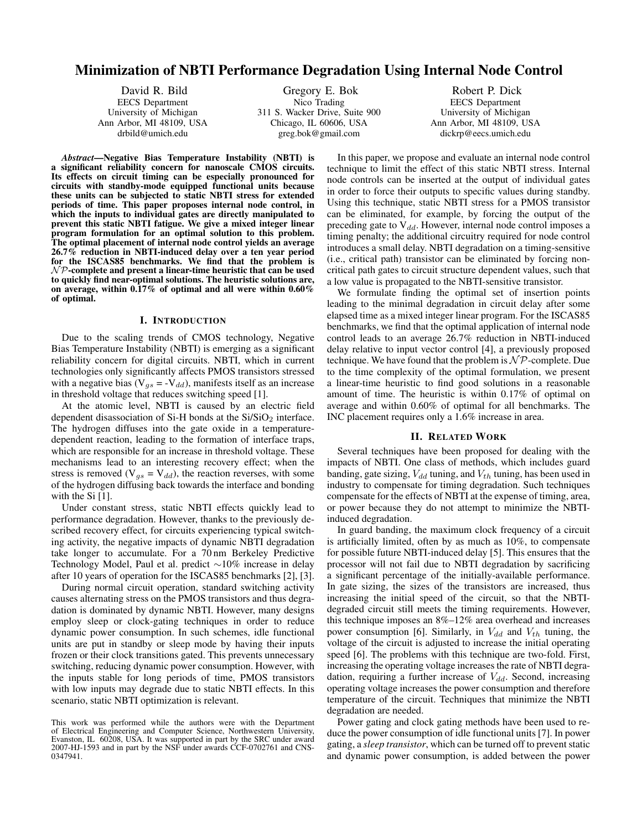# Minimization of NBTI Performance Degradation Using Internal Node Control

David R. Bild EECS Department University of Michigan Ann Arbor, MI 48109, USA drbild@umich.edu

Gregory E. Bok Nico Trading 311 S. Wacker Drive, Suite 900 Chicago, IL 60606, USA greg.bok@gmail.com

Robert P. Dick EECS Department University of Michigan Ann Arbor, MI 48109, USA dickrp@eecs.umich.edu

*Abstract*—Negative Bias Temperature Instability (NBTI) is a significant reliability concern for nanoscale CMOS circuits. Its effects on circuit timing can be especially pronounced for circuits with standby-mode equipped functional units because these units can be subjected to static NBTI stress for extended periods of time. This paper proposes internal node control, in which the inputs to individual gates are directly manipulated to prevent this static NBTI fatigue. We give a mixed integer linear program formulation for an optimal solution to this problem. The optimal placement of internal node control yields an average 26.7% reduction in NBTI-induced delay over a ten year period for the ISCAS85 benchmarks. We find that the problem is  $\mathcal{NP}$ -complete and present a linear-time heuristic that can be used to quickly find near-optimal solutions. The heuristic solutions are, on average, within 0.17% of optimal and all were within  $0.60\%$ of optimal.

### I. INTRODUCTION

Due to the scaling trends of CMOS technology, Negative Bias Temperature Instability (NBTI) is emerging as a significant reliability concern for digital circuits. NBTI, which in current technologies only significantly affects PMOS transistors stressed with a negative bias ( $V_{gs} = -V_{dd}$ ), manifests itself as an increase in threshold voltage that reduces switching speed [1].

At the atomic level, NBTI is caused by an electric field dependent disassociation of Si-H bonds at the  $Si/SiO<sub>2</sub>$  interface. The hydrogen diffuses into the gate oxide in a temperaturedependent reaction, leading to the formation of interface traps, which are responsible for an increase in threshold voltage. These mechanisms lead to an interesting recovery effect; when the stress is removed ( $V_{gs} = V_{dd}$ ), the reaction reverses, with some of the hydrogen diffusing back towards the interface and bonding with the Si [1].

Under constant stress, static NBTI effects quickly lead to performance degradation. However, thanks to the previously described recovery effect, for circuits experiencing typical switching activity, the negative impacts of dynamic NBTI degradation take longer to accumulate. For a 70 nm Berkeley Predictive Technology Model, Paul et al. predict ∼10% increase in delay after 10 years of operation for the ISCAS85 benchmarks [2], [3].

During normal circuit operation, standard switching activity causes alternating stress on the PMOS transistors and thus degradation is dominated by dynamic NBTI. However, many designs employ sleep or clock-gating techniques in order to reduce dynamic power consumption. In such schemes, idle functional units are put in standby or sleep mode by having their inputs frozen or their clock transitions gated. This prevents unnecessary switching, reducing dynamic power consumption. However, with the inputs stable for long periods of time, PMOS transistors with low inputs may degrade due to static NBTI effects. In this scenario, static NBTI optimization is relevant.

In this paper, we propose and evaluate an internal node control technique to limit the effect of this static NBTI stress. Internal node controls can be inserted at the output of individual gates in order to force their outputs to specific values during standby. Using this technique, static NBTI stress for a PMOS transistor can be eliminated, for example, by forcing the output of the preceding gate to  $V_{dd}$ . However, internal node control imposes a timing penalty; the additional circuitry required for node control introduces a small delay. NBTI degradation on a timing-sensitive (i.e., critical path) transistor can be eliminated by forcing noncritical path gates to circuit structure dependent values, such that a low value is propagated to the NBTI-sensitive transistor.

We formulate finding the optimal set of insertion points leading to the minimal degradation in circuit delay after some elapsed time as a mixed integer linear program. For the ISCAS85 benchmarks, we find that the optimal application of internal node control leads to an average 26.7% reduction in NBTI-induced delay relative to input vector control [4], a previously proposed technique. We have found that the problem is  $N\mathcal{P}$ -complete. Due to the time complexity of the optimal formulation, we present a linear-time heuristic to find good solutions in a reasonable amount of time. The heuristic is within 0.17% of optimal on average and within 0.60% of optimal for all benchmarks. The INC placement requires only a 1.6% increase in area.

#### II. RELATED WORK

Several techniques have been proposed for dealing with the impacts of NBTI. One class of methods, which includes guard banding, gate sizing,  $V_{dd}$  tuning, and  $V_{th}$  tuning, has been used in industry to compensate for timing degradation. Such techniques compensate for the effects of NBTI at the expense of timing, area, or power because they do not attempt to minimize the NBTIinduced degradation.

In guard banding, the maximum clock frequency of a circuit is artificially limited, often by as much as 10%, to compensate for possible future NBTI-induced delay [5]. This ensures that the processor will not fail due to NBTI degradation by sacrificing a significant percentage of the initially-available performance. In gate sizing, the sizes of the transistors are increased, thus increasing the initial speed of the circuit, so that the NBTIdegraded circuit still meets the timing requirements. However, this technique imposes an 8%–12% area overhead and increases power consumption [6]. Similarly, in  $V_{dd}$  and  $V_{th}$  tuning, the voltage of the circuit is adjusted to increase the initial operating speed [6]. The problems with this technique are two-fold. First, increasing the operating voltage increases the rate of NBTI degradation, requiring a further increase of  $V_{dd}$ . Second, increasing operating voltage increases the power consumption and therefore temperature of the circuit. Techniques that minimize the NBTI degradation are needed.

Power gating and clock gating methods have been used to reduce the power consumption of idle functional units [7]. In power gating, a *sleep transistor*, which can be turned off to prevent static and dynamic power consumption, is added between the power

This work was performed while the authors were with the Department of Electrical Engineering and Computer Science, Northwestern University, Evanston, IL 60208, USA. It was supported in part by the SRC under award 2007-HJ-1593 and in part by the NSF under awards CCF-0702761 and CNS-0347941.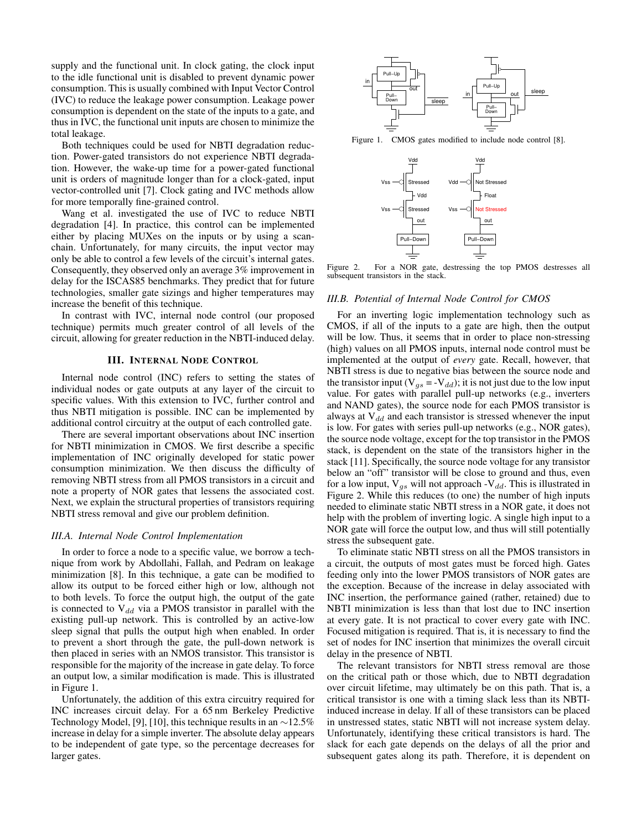supply and the functional unit. In clock gating, the clock input to the idle functional unit is disabled to prevent dynamic power consumption. This is usually combined with Input Vector Control (IVC) to reduce the leakage power consumption. Leakage power consumption is dependent on the state of the inputs to a gate, and thus in IVC, the functional unit inputs are chosen to minimize the total leakage.

Both techniques could be used for NBTI degradation reduction. Power-gated transistors do not experience NBTI degradation. However, the wake-up time for a power-gated functional unit is orders of magnitude longer than for a clock-gated, input vector-controlled unit [7]. Clock gating and IVC methods allow for more temporally fine-grained control.

Wang et al. investigated the use of IVC to reduce NBTI degradation [4]. In practice, this control can be implemented either by placing MUXes on the inputs or by using a scanchain. Unfortunately, for many circuits, the input vector may only be able to control a few levels of the circuit's internal gates. Consequently, they observed only an average 3% improvement in delay for the ISCAS85 benchmarks. They predict that for future technologies, smaller gate sizings and higher temperatures may increase the benefit of this technique.

In contrast with IVC, internal node control (our proposed technique) permits much greater control of all levels of the circuit, allowing for greater reduction in the NBTI-induced delay.

#### III. INTERNAL NODE CONTROL

Internal node control (INC) refers to setting the states of individual nodes or gate outputs at any layer of the circuit to specific values. With this extension to IVC, further control and thus NBTI mitigation is possible. INC can be implemented by additional control circuitry at the output of each controlled gate.

There are several important observations about INC insertion for NBTI minimization in CMOS. We first describe a specific implementation of INC originally developed for static power consumption minimization. We then discuss the difficulty of removing NBTI stress from all PMOS transistors in a circuit and note a property of NOR gates that lessens the associated cost. Next, we explain the structural properties of transistors requiring NBTI stress removal and give our problem definition.

#### *III.A. Internal Node Control Implementation*

In order to force a node to a specific value, we borrow a technique from work by Abdollahi, Fallah, and Pedram on leakage minimization [8]. In this technique, a gate can be modified to allow its output to be forced either high or low, although not to both levels. To force the output high, the output of the gate is connected to  $V_{dd}$  via a PMOS transistor in parallel with the existing pull-up network. This is controlled by an active-low sleep signal that pulls the output high when enabled. In order to prevent a short through the gate, the pull-down network is then placed in series with an NMOS transistor. This transistor is responsible for the majority of the increase in gate delay. To force an output low, a similar modification is made. This is illustrated in Figure 1.

Unfortunately, the addition of this extra circuitry required for INC increases circuit delay. For a 65 nm Berkeley Predictive Technology Model, [9], [10], this technique results in an ∼12.5% increase in delay for a simple inverter. The absolute delay appears to be independent of gate type, so the percentage decreases for larger gates.



Figure 1. CMOS gates modified to include node control [8].



Figure 2. For a NOR gate, destressing the top PMOS destresses all subsequent transistors in the stack.

### *III.B. Potential of Internal Node Control for CMOS*

For an inverting logic implementation technology such as CMOS, if all of the inputs to a gate are high, then the output will be low. Thus, it seems that in order to place non-stressing (high) values on all PMOS inputs, internal node control must be implemented at the output of *every* gate. Recall, however, that NBTI stress is due to negative bias between the source node and the transistor input ( $V_{gs} = -V_{dd}$ ); it is not just due to the low input value. For gates with parallel pull-up networks (e.g., inverters and NAND gates), the source node for each PMOS transistor is always at  $V_{dd}$  and each transistor is stressed whenever the input is low. For gates with series pull-up networks (e.g., NOR gates), the source node voltage, except for the top transistor in the PMOS stack, is dependent on the state of the transistors higher in the stack [11]. Specifically, the source node voltage for any transistor below an "off" transistor will be close to ground and thus, even for a low input,  $V_{qs}$  will not approach - $V_{dd}$ . This is illustrated in Figure 2. While this reduces (to one) the number of high inputs needed to eliminate static NBTI stress in a NOR gate, it does not help with the problem of inverting logic. A single high input to a NOR gate will force the output low, and thus will still potentially stress the subsequent gate.

To eliminate static NBTI stress on all the PMOS transistors in a circuit, the outputs of most gates must be forced high. Gates feeding only into the lower PMOS transistors of NOR gates are the exception. Because of the increase in delay associated with INC insertion, the performance gained (rather, retained) due to NBTI minimization is less than that lost due to INC insertion at every gate. It is not practical to cover every gate with INC. Focused mitigation is required. That is, it is necessary to find the set of nodes for INC insertion that minimizes the overall circuit delay in the presence of NBTI.

The relevant transistors for NBTI stress removal are those on the critical path or those which, due to NBTI degradation over circuit lifetime, may ultimately be on this path. That is, a critical transistor is one with a timing slack less than its NBTIinduced increase in delay. If all of these transistors can be placed in unstressed states, static NBTI will not increase system delay. Unfortunately, identifying these critical transistors is hard. The slack for each gate depends on the delays of all the prior and subsequent gates along its path. Therefore, it is dependent on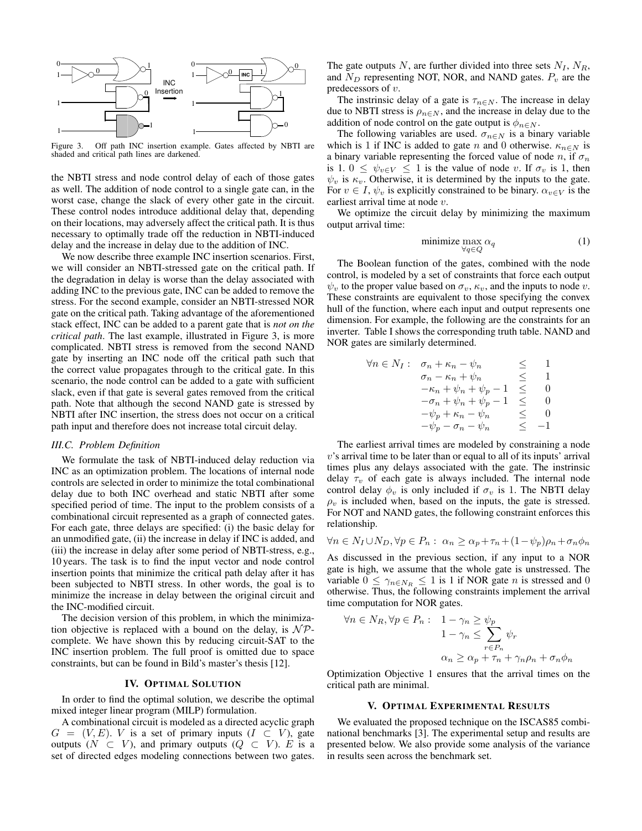

Figure 3. Off path INC insertion example. Gates affected by NBTI are shaded and critical path lines are darkened.

the NBTI stress and node control delay of each of those gates as well. The addition of node control to a single gate can, in the worst case, change the slack of every other gate in the circuit. These control nodes introduce additional delay that, depending on their locations, may adversely affect the critical path. It is thus necessary to optimally trade off the reduction in NBTI-induced delay and the increase in delay due to the addition of INC.

We now describe three example INC insertion scenarios. First, we will consider an NBTI-stressed gate on the critical path. If the degradation in delay is worse than the delay associated with adding INC to the previous gate, INC can be added to remove the stress. For the second example, consider an NBTI-stressed NOR gate on the critical path. Taking advantage of the aforementioned stack effect, INC can be added to a parent gate that is *not on the critical path*. The last example, illustrated in Figure 3, is more complicated. NBTI stress is removed from the second NAND gate by inserting an INC node off the critical path such that the correct value propagates through to the critical gate. In this scenario, the node control can be added to a gate with sufficient slack, even if that gate is several gates removed from the critical path. Note that although the second NAND gate is stressed by NBTI after INC insertion, the stress does not occur on a critical path input and therefore does not increase total circuit delay.

#### *III.C. Problem Definition*

We formulate the task of NBTI-induced delay reduction via INC as an optimization problem. The locations of internal node controls are selected in order to minimize the total combinational delay due to both INC overhead and static NBTI after some specified period of time. The input to the problem consists of a combinational circuit represented as a graph of connected gates. For each gate, three delays are specified: (i) the basic delay for an unmodified gate, (ii) the increase in delay if INC is added, and (iii) the increase in delay after some period of NBTI-stress, e.g., 10 years. The task is to find the input vector and node control insertion points that minimize the critical path delay after it has been subjected to NBTI stress. In other words, the goal is to minimize the increase in delay between the original circuit and the INC-modified circuit.

The decision version of this problem, in which the minimization objective is replaced with a bound on the delay, is  $\mathcal{NP}$ complete. We have shown this by reducing circuit-SAT to the INC insertion problem. The full proof is omitted due to space constraints, but can be found in Bild's master's thesis [12].

### IV. OPTIMAL SOLUTION

In order to find the optimal solution, we describe the optimal mixed integer linear program (MILP) formulation.

A combinational circuit is modeled as a directed acyclic graph  $G = (V, E)$ . V is a set of primary inputs  $(I \subset V)$ , gate outputs  $(N \subset V)$ , and primary outputs  $(Q \subset V)$ . E is a set of directed edges modeling connections between two gates. The gate outputs N, are further divided into three sets  $N_I$ ,  $N_R$ , and  $N_D$  representing NOT, NOR, and NAND gates.  $P_v$  are the predecessors of v.

The instrinsic delay of a gate is  $\tau_{n \in N}$ . The increase in delay due to NBTI stress is  $\rho_{n\in N}$ , and the increase in delay due to the addition of node control on the gate output is  $\phi_{n\in N}$ .

The following variables are used.  $\sigma_{n\in N}$  is a binary variable which is 1 if INC is added to gate n and 0 otherwise.  $\kappa_{n \in N}$  is a binary variable representing the forced value of node n, if  $\sigma_n$ is 1.  $0 \leq \psi_{v \in V} \leq 1$  is the value of node v. If  $\sigma_v$  is 1, then  $\psi_v$  is  $\kappa_v$ . Otherwise, it is determined by the inputs to the gate. For  $v \in I$ ,  $\psi_v$  is explicitly constrained to be binary.  $\alpha_{v \in V}$  is the earliest arrival time at node v.

We optimize the circuit delay by minimizing the maximum output arrival time:

$$
\text{minimize } \max_{\forall q \in Q} \alpha_q \tag{1}
$$

The Boolean function of the gates, combined with the node control, is modeled by a set of constraints that force each output  $\psi_v$  to the proper value based on  $\sigma_v$ ,  $\kappa_v$ , and the inputs to node v. These constraints are equivalent to those specifying the convex hull of the function, where each input and output represents one dimension. For example, the following are the constraints for an inverter. Table I shows the corresponding truth table. NAND and NOR gates are similarly determined.

$$
\forall n \in N_I: \begin{array}{rcl} \sigma_n + \kappa_n - \psi_n & \leq & 1 \\ \sigma_n - \kappa_n + \psi_n & \leq & 1 \\ -\kappa_n + \psi_n + \psi_p - 1 & \leq & 0 \\ -\sigma_n + \psi_n + \psi_p - 1 & \leq & 0 \\ -\psi_p + \kappa_n - \psi_n & \leq & 0 \\ -\psi_p - \sigma_n - \psi_n & \leq & -1 \end{array}
$$

The earliest arrival times are modeled by constraining a node  $v$ 's arrival time to be later than or equal to all of its inputs' arrival times plus any delays associated with the gate. The instrinsic delay  $\tau_v$  of each gate is always included. The internal node control delay  $\phi_v$  is only included if  $\sigma_v$  is 1. The NBTI delay  $\rho_v$  is included when, based on the inputs, the gate is stressed. For NOT and NAND gates, the following constraint enforces this relationship.

$$
\forall n \in N_I \cup N_D, \forall p \in P_n: \alpha_n \ge \alpha_p + \tau_n + (1 - \psi_p)\rho_n + \sigma_n \phi_n
$$

As discussed in the previous section, if any input to a NOR gate is high, we assume that the whole gate is unstressed. The variable  $0 \leq \gamma_{n \in N_R} \leq 1$  is 1 if NOR gate *n* is stressed and 0 otherwise. Thus, the following constraints implement the arrival time computation for NOR gates.

$$
\forall n \in N_R, \forall p \in P_n: \quad 1 - \gamma_n \ge \psi_p
$$

$$
1 - \gamma_n \le \sum_{r \in P_n} \psi_r
$$

$$
\alpha_n \ge \alpha_p + \tau_n + \gamma_n \rho_n + \sigma_n \phi_n
$$

Optimization Objective 1 ensures that the arrival times on the critical path are minimal.

## V. OPTIMAL EXPERIMENTAL RESULTS

We evaluated the proposed technique on the ISCAS85 combinational benchmarks [3]. The experimental setup and results are presented below. We also provide some analysis of the variance in results seen across the benchmark set.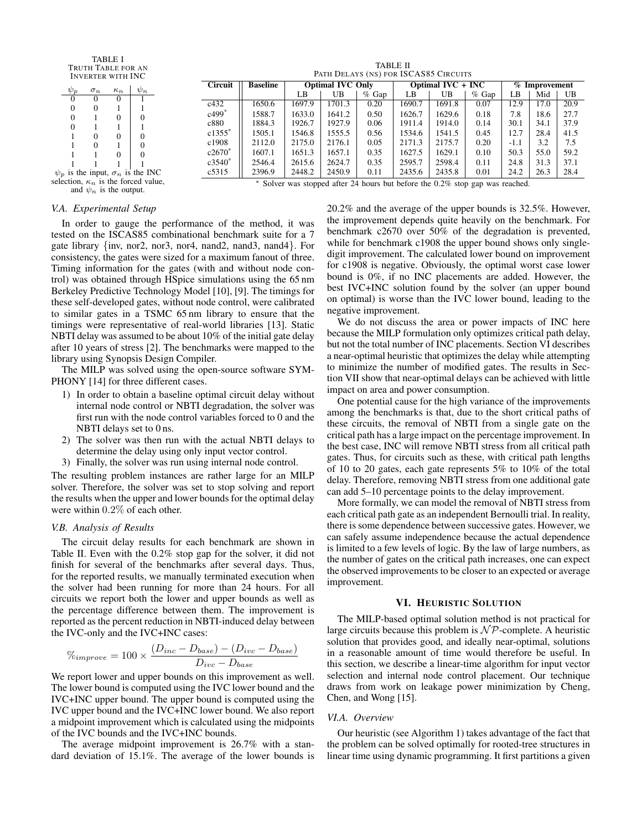TABLE I TRUTH TABLE FOR AN

INVERTER WITH INC  $\psi_p$  σ<sub>n</sub> κ<sub>n</sub>  $\psi_n$  $0 \quad 0 \quad 0$  | 1  $0 \t 0 \t 1 \t 1$  $0 \quad 1 \quad 0 \mid 0$ 0 1 1 1 1 0 0 0

1 1 1 1  $\psi_p$  is the input,  $\sigma_n$  is the INC selection,  $\kappa_n$  is the forced value, and  $\psi_n$  is the output.

1 0 1 0  $1 \quad 1 \quad 0 \mid 0$ 

#### *V.A. Experimental Setup*

In order to gauge the performance of the method, it was tested on the ISCAS85 combinational benchmark suite for a 7 gate library  $\{inv, nor2, nor3, nor4, nand2, nand3, nand4\}$ . For consistency, the gates were sized for a maximum fanout of three. Timing information for the gates (with and without node control) was obtained through HSpice simulations using the 65 nm Berkeley Predictive Technology Model [10], [9]. The timings for these self-developed gates, without node control, were calibrated to similar gates in a TSMC 65 nm library to ensure that the timings were representative of real-world libraries [13]. Static NBTI delay was assumed to be about 10% of the initial gate delay after 10 years of stress [2]. The benchmarks were mapped to the library using Synopsis Design Compiler.

The MILP was solved using the open-source software SYM-PHONY [14] for three different cases.

- 1) In order to obtain a baseline optimal circuit delay without internal node control or NBTI degradation, the solver was first run with the node control variables forced to 0 and the NBTI delays set to 0 ns.
- 2) The solver was then run with the actual NBTI delays to determine the delay using only input vector control.
- 3) Finally, the solver was run using internal node control.

The resulting problem instances are rather large for an MILP solver. Therefore, the solver was set to stop solving and report the results when the upper and lower bounds for the optimal delay were within 0.2% of each other.

# *V.B. Analysis of Results*

The circuit delay results for each benchmark are shown in Table II. Even with the 0.2% stop gap for the solver, it did not finish for several of the benchmarks after several days. Thus, for the reported results, we manually terminated execution when the solver had been running for more than 24 hours. For all circuits we report both the lower and upper bounds as well as the percentage difference between them. The improvement is reported as the percent reduction in NBTI-induced delay between the IVC-only and the IVC+INC cases:

$$
\%_{improve} = 100 \times \frac{(D_{inc} - D_{base}) - (D_{ivc} - D_{base})}{D_{ivc} - D_{base}}
$$

We report lower and upper bounds on this improvement as well. The lower bound is computed using the IVC lower bound and the IVC+INC upper bound. The upper bound is computed using the IVC upper bound and the IVC+INC lower bound. We also report a midpoint improvement which is calculated using the midpoints of the IVC bounds and the IVC+INC bounds.

The average midpoint improvement is 26.7% with a standard deviation of 15.1%. The average of the lower bounds is

TABLE II PATH DELAYS (NS) FOR ISCAS85 CIRCUITS

| <b>Circuit</b>       | <b>Baseline</b> | <b>Optimal IVC Only</b> |        |         | Optimal IVC + INC | % Improvement |         |        |      |      |
|----------------------|-----------------|-------------------------|--------|---------|-------------------|---------------|---------|--------|------|------|
|                      |                 | LB                      | UB     | $%$ Gap | LB                | UB            | $%$ Gap | LB     | Mid  | UB   |
| c432                 | 1650.6          | 1697.9                  | 1701.3 | 0.20    | 1690.7            | 1691.8        | 0.07    | 12.9   | 17.0 | 20.9 |
| $c499*$              | 1588.7          | 1633.0                  | 1641.2 | 0.50    | 1626.7            | 1629.6        | 0.18    | 7.8    | 18.6 | 27.7 |
| c880                 | 1884.3          | 1926.7                  | 1927.9 | 0.06    | 1911.4            | 1914.0        | 0.14    | 30.1   | 34.1 | 37.9 |
| $c1355$ <sup>*</sup> | 1505.1          | 1546.8                  | 1555.5 | 0.56    | 1534.6            | 1541.5        | 0.45    | 12.7   | 28.4 | 41.5 |
| c1908                | 2112.0          | 2175.0                  | 2176.1 | 0.05    | 2171.3            | 2175.7        | 0.20    | $-1.1$ | 3.2  | 7.5  |
| $c2670*$             | 1607.1          | 1651.3                  | 1657.1 | 0.35    | 1627.5            | 1629.1        | 0.10    | 50.3   | 55.0 | 59.2 |
| $c3540^*$            | 2546.4          | 2615.6                  | 2624.7 | 0.35    | 2595.7            | 2598.4        | 0.11    | 24.8   | 31.3 | 37.1 |
| c5315                | 2396.9          | 2448.2                  | 2450.9 | 0.11    | 2435.6            | 2435.8        | 0.01    | 24.2   | 26.3 | 28.4 |

<sup>∗</sup> Solver was stopped after 24 hours but before the 0.2% stop gap was reached.

20.2% and the average of the upper bounds is 32.5%. However, the improvement depends quite heavily on the benchmark. For benchmark c2670 over 50% of the degradation is prevented, while for benchmark c1908 the upper bound shows only singledigit improvement. The calculated lower bound on improvement for c1908 is negative. Obviously, the optimal worst case lower bound is 0%, if no INC placements are added. However, the best IVC+INC solution found by the solver (an upper bound on optimal) is worse than the IVC lower bound, leading to the negative improvement.

We do not discuss the area or power impacts of INC here because the MILP formulation only optimizes critical path delay, but not the total number of INC placements. Section VI describes a near-optimal heuristic that optimizes the delay while attempting to minimize the number of modified gates. The results in Section VII show that near-optimal delays can be achieved with little impact on area and power consumption.

One potential cause for the high variance of the improvements among the benchmarks is that, due to the short critical paths of these circuits, the removal of NBTI from a single gate on the critical path has a large impact on the percentage improvement. In the best case, INC will remove NBTI stress from all critical path gates. Thus, for circuits such as these, with critical path lengths of 10 to 20 gates, each gate represents 5% to 10% of the total delay. Therefore, removing NBTI stress from one additional gate can add 5–10 percentage points to the delay improvement.

More formally, we can model the removal of NBTI stress from each critical path gate as an independent Bernoulli trial. In reality, there is some dependence between successive gates. However, we can safely assume independence because the actual dependence is limited to a few levels of logic. By the law of large numbers, as the number of gates on the critical path increases, one can expect the observed improvements to be closer to an expected or average improvement.

### VI. HEURISTIC SOLUTION

The MILP-based optimal solution method is not practical for large circuits because this problem is  $\mathcal{NP}$ -complete. A heuristic solution that provides good, and ideally near-optimal, solutions in a reasonable amount of time would therefore be useful. In this section, we describe a linear-time algorithm for input vector selection and internal node control placement. Our technique draws from work on leakage power minimization by Cheng, Chen, and Wong [15].

# *VI.A. Overview*

Our heuristic (see Algorithm 1) takes advantage of the fact that the problem can be solved optimally for rooted-tree structures in linear time using dynamic programming. It first partitions a given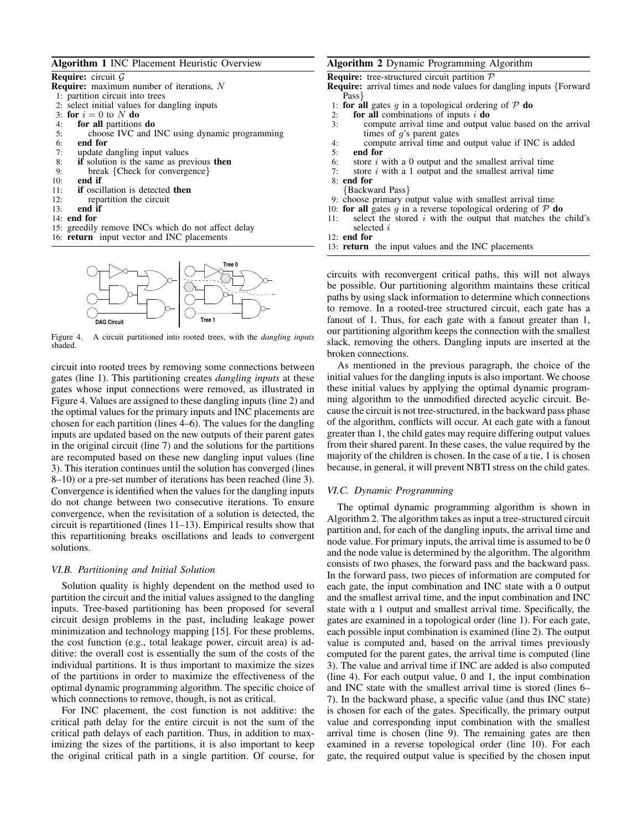### Algorithm 1 INC Placement Heuristic Overview

Require: circuit G

- Require: maximum number of iterations, N
- 1: partition circuit into trees
- 2: select initial values for dangling inputs<br>3: for  $i = 0$  to N do
- for  $i = 0$  to N do
- 4: **for all partitions do**<br>5: **choose IVC** and I
- 5: choose IVC and INC using dynamic programming<br>6: **end for**
- 6: **end for**<br>7: **undate**  $\alpha$
- 7: update dangling input values<br>8: **if** solution is the same as pre
- 8: **if** solution is the same as previous **then**<br>9: **break** {Check for convergence}
- 9: break {Check for convergence}<br>10: **end if**
- end if
- 11: if oscillation is detected then
- 12: repartition the circuit
- $13:$  end if
- 14: end for
- 15: greedily remove INCs which do not affect delay
- 16: return input vector and INC placements



Figure 4. A circuit partitioned into rooted trees, with the *dangling inputs* shaded.

circuit into rooted trees by removing some connections between gates (line 1). This partitioning creates *dangling inputs* at these gates whose input connections were removed, as illustrated in Figure 4. Values are assigned to these dangling inputs (line 2) and the optimal values for the primary inputs and INC placements are chosen for each partition (lines 4–6). The values for the dangling inputs are updated based on the new outputs of their parent gates in the original circuit (line 7) and the solutions for the partitions are recomputed based on these new dangling input values (line 3). This iteration continues until the solution has converged (lines 8–10) or a pre-set number of iterations has been reached (line 3). Convergence is identified when the values for the dangling inputs do not change between two consecutive iterations. To ensure convergence, when the revisitation of a solution is detected, the circuit is repartitioned (lines 11–13). Empirical results show that this repartitioning breaks oscillations and leads to convergent solutions.

## *VI.B. Partitioning and Initial Solution*

Solution quality is highly dependent on the method used to partition the circuit and the initial values assigned to the dangling inputs. Tree-based partitioning has been proposed for several circuit design problems in the past, including leakage power minimization and technology mapping [15]. For these problems, the cost function (e.g., total leakage power, circuit area) is additive: the overall cost is essentially the sum of the costs of the individual partitions. It is thus important to maximize the sizes of the partitions in order to maximize the effectiveness of the optimal dynamic programming algorithm. The specific choice of which connections to remove, though, is not as critical.

For INC placement, the cost function is not additive: the critical path delay for the entire circuit is not the sum of the critical path delays of each partition. Thus, in addition to maximizing the sizes of the partitions, it is also important to keep the original critical path in a single partition. Of course, for

# Algorithm 2 Dynamic Programming Algorithm

**Require:** tree-structured circuit partition  $P$ 

- Require: arrival times and node values for dangling inputs {Forward Pass}
- 1: for all gates g in a topological ordering of  $P$  do
- 2: **for all** combinations of inputs  $i$  **do**<br>3: **compute arrival time and output**
- compute arrival time and output value based on the arrival times of  $g$ 's parent gates
- 4: compute arrival time and output value if INC is added<br>5: **end for**
- 5: **end for**<br>6: store  $i$  y
- 6: store i with a 0 output and the smallest arrival time  $7:$  store i with a 1 output and the smallest arrival time store  $i$  with a 1 output and the smallest arrival time
	-
- 8: end for {Backward Pass}
- 9: choose primary output value with smallest arrival time
- 
- 10: **for all** gates g in a reverse topological ordering of  $\mathcal{P}$  **do** 11: select the stored i with the output that matches the select the stored  $i$  with the output that matches the child's selected i

12: end for

13: return the input values and the INC placements

circuits with reconvergent critical paths, this will not always be possible. Our partitioning algorithm maintains these critical paths by using slack information to determine which connections to remove. In a rooted-tree structured circuit, each gate has a fanout of 1. Thus, for each gate with a fanout greater than 1, our partitioning algorithm keeps the connection with the smallest slack, removing the others. Dangling inputs are inserted at the broken connections.

As mentioned in the previous paragraph, the choice of the initial values for the dangling inputs is also important. We choose these initial values by applying the optimal dynamic programming algorithm to the unmodified directed acyclic circuit. Because the circuit is not tree-structured, in the backward pass phase of the algorithm, conflicts will occur. At each gate with a fanout greater than 1, the child gates may require differing output values from their shared parent. In these cases, the value required by the majority of the children is chosen. In the case of a tie, 1 is chosen because, in general, it will prevent NBTI stress on the child gates.

## *VI.C. Dynamic Programming*

The optimal dynamic programming algorithm is shown in Algorithm 2. The algorithm takes as input a tree-structured circuit partition and, for each of the dangling inputs, the arrival time and node value. For primary inputs, the arrival time is assumed to be 0 and the node value is determined by the algorithm. The algorithm consists of two phases, the forward pass and the backward pass. In the forward pass, two pieces of information are computed for each gate, the input combination and INC state with a 0 output and the smallest arrival time, and the input combination and INC state with a 1 output and smallest arrival time. Specifically, the gates are examined in a topological order (line 1). For each gate, each possible input combination is examined (line 2). The output value is computed and, based on the arrival times previously computed for the parent gates, the arrival time is computed (line 3). The value and arrival time if INC are added is also computed (line 4). For each output value, 0 and 1, the input combination and INC state with the smallest arrival time is stored (lines 6– 7). In the backward phase, a specific value (and thus INC state) is chosen for each of the gates. Specifically, the primary output value and corresponding input combination with the smallest arrival time is chosen (line 9). The remaining gates are then examined in a reverse topological order (line 10). For each gate, the required output value is specified by the chosen input